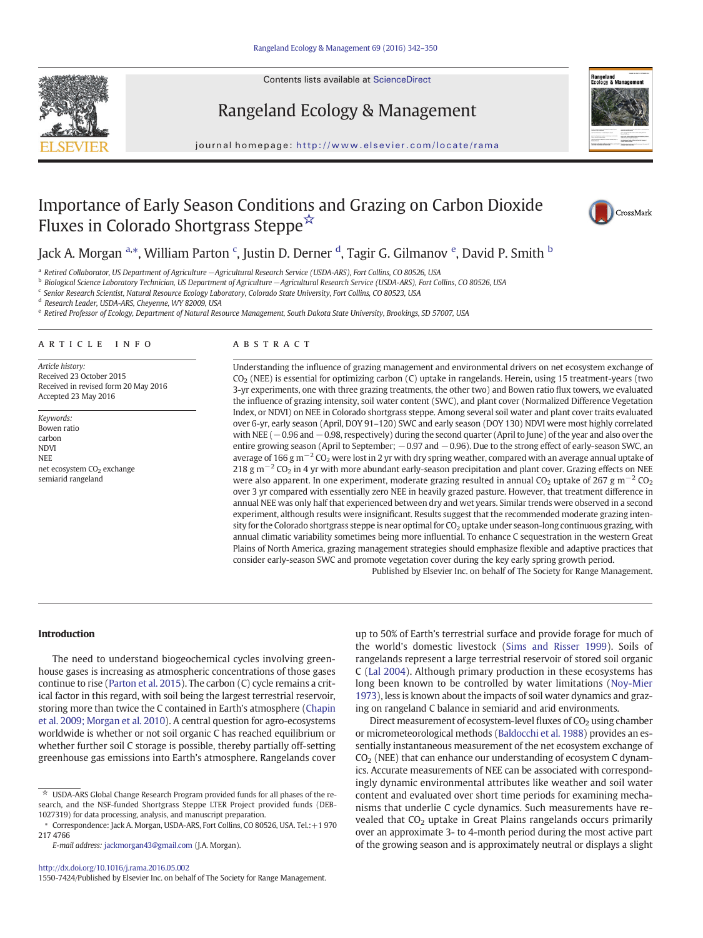Contents lists available at ScienceDirect





# Rangeland Ecology & Management

journal homepage: http://www.elsevier.com/locate/rama

# Importance of Early Season Conditions and Grazing on Carbon Dioxide Fluxes in Colorado Shortgrass Steppe☆



# Jack A. Morgan <sup>a,\*</sup>, William Parton <sup>c</sup>, Justin D. Derner <sup>d</sup>, Tagir G. Gilmanov <sup>e</sup>, David P. Smith <sup>b</sup>

<sup>a</sup> Retired Collaborator, US Department of Agriculture−Agricultural Research Service (USDA-ARS), Fort Collins, CO 80526, USA

<sup>b</sup> Biological Science Laboratory Technician, US Department of Agriculture−Agricultural Research Service (USDA-ARS), Fort Collins, CO 80526, USA

<sup>c</sup> Senior Research Scientist, Natural Resource Ecology Laboratory, Colorado State University, Fort Collins, CO 80523, USA

<sup>d</sup> Research Leader, USDA-ARS, Cheyenne, WY 82009, USA

e Retired Professor of Ecology, Department of Natural Resource Management, South Dakota State University, Brookings, SD 57007, USA

### article info abstract

Article history: Received 23 October 2015 Received in revised form 20 May 2016 Accepted 23 May 2016

Keywords: Bowen ratio carbon NDVI NEE net ecosystem CO<sub>2</sub> exchange semiarid rangeland

Understanding the influence of grazing management and environmental drivers on net ecosystem exchange of CO2 (NEE) is essential for optimizing carbon (C) uptake in rangelands. Herein, using 15 treatment-years (two 3-yr experiments, one with three grazing treatments, the other two) and Bowen ratio flux towers, we evaluated the influence of grazing intensity, soil water content (SWC), and plant cover (Normalized Difference Vegetation Index, or NDVI) on NEE in Colorado shortgrass steppe. Among several soil water and plant cover traits evaluated over 6-yr, early season (April, DOY 91–120) SWC and early season (DOY 130) NDVI were most highly correlated with NEE ( $-0.96$  and  $-0.98$ , respectively) during the second quarter (April to June) of the year and also over the entire growing season (April to September; −0.97 and −0.96). Due to the strong effect of early-season SWC, an average of 166 g m<sup>-2</sup> CO<sub>2</sub> were lost in 2 yr with dry spring weather, compared with an average annual uptake of 218 g m<sup>-2</sup> CO<sub>2</sub> in 4 yr with more abundant early-season precipitation and plant cover. Grazing effects on NEE were also apparent. In one experiment, moderate grazing resulted in annual CO<sub>2</sub> uptake of 267 g m<sup>-2</sup> CO<sub>2</sub> over 3 yr compared with essentially zero NEE in heavily grazed pasture. However, that treatment difference in annual NEE was only half that experienced between dry and wet years. Similar trends were observed in a second experiment, although results were insignificant. Results suggest that the recommended moderate grazing intensity for the Colorado shortgrass steppe is near optimal for CO<sub>2</sub> uptake under season-long continuous grazing, with annual climatic variability sometimes being more influential. To enhance C sequestration in the western Great Plains of North America, grazing management strategies should emphasize flexible and adaptive practices that consider early-season SWC and promote vegetation cover during the key early spring growth period.

Published by Elsevier Inc. on behalf of The Society for Range Management.

# Introduction

The need to understand biogeochemical cycles involving greenhouse gases is increasing as atmospheric concentrations of those gases continue to rise [\(Parton et al. 2015\)](#page-8-0). The carbon (C) cycle remains a critical factor in this regard, with soil being the largest terrestrial reservoir, storing more than twice the C contained in Earth's atmosphere ([Chapin](#page-7-0) [et al. 2009; Morgan et al. 2010](#page-7-0)). A central question for agro-ecosystems worldwide is whether or not soil organic C has reached equilibrium or whether further soil C storage is possible, thereby partially off-setting greenhouse gas emissions into Earth's atmosphere. Rangelands cover up to 50% of Earth's terrestrial surface and provide forage for much of the world's domestic livestock ([Sims and Risser 1999\)](#page-8-0). Soils of rangelands represent a large terrestrial reservoir of stored soil organic C [\(Lal 2004\)](#page-7-0). Although primary production in these ecosystems has long been known to be controlled by water limitations [\(Noy-Mier](#page-8-0) [1973](#page-8-0)), less is known about the impacts of soil water dynamics and grazing on rangeland C balance in semiarid and arid environments.

Direct measurement of ecosystem-level fluxes of  $CO<sub>2</sub>$  using chamber or micrometeorological methods [\(Baldocchi et al. 1988\)](#page-7-0) provides an essentially instantaneous measurement of the net ecosystem exchange of  $CO<sub>2</sub>$  (NEE) that can enhance our understanding of ecosystem C dynamics. Accurate measurements of NEE can be associated with correspondingly dynamic environmental attributes like weather and soil water content and evaluated over short time periods for examining mechanisms that underlie C cycle dynamics. Such measurements have revealed that  $CO<sub>2</sub>$  uptake in Great Plains rangelands occurs primarily over an approximate 3- to 4-month period during the most active part of the growing season and is approximately neutral or displays a slight

 $\star$  USDA-ARS Global Change Research Program provided funds for all phases of the research, and the NSF-funded Shortgrass Steppe LTER Project provided funds (DEB-1027319) for data processing, analysis, and manuscript preparation.

<sup>⁎</sup> Correspondence: Jack A. Morgan, USDA-ARS, Fort Collins, CO 80526, USA. Tel.:+1 970 217 4766

E-mail address: [jackmorgan43@gmail.com](mailto:jackmorgan43@gmail.com) (J.A. Morgan).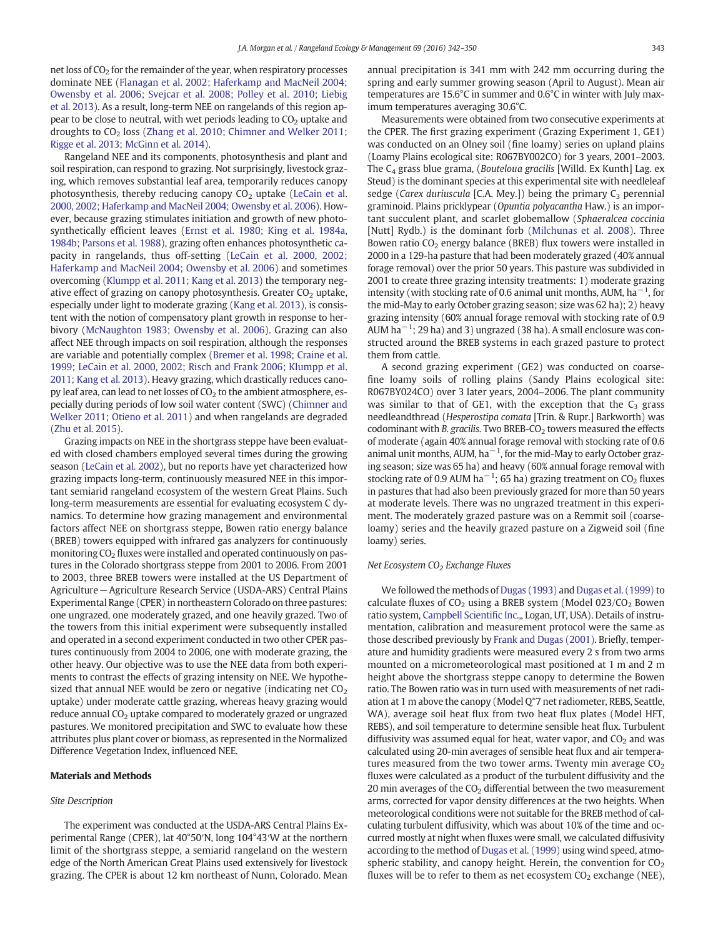net loss of CO<sub>2</sub> for the remainder of the year, when respiratory processes dominate NEE [\(Flanagan et al. 2002; Haferkamp and MacNeil 2004;](#page-7-0) [Owensby et al. 2006; Svejcar et al. 2008; Polley et al. 2010; Liebig](#page-7-0) [et al. 2013](#page-7-0)). As a result, long-term NEE on rangelands of this region appear to be close to neutral, with wet periods leading to  $CO<sub>2</sub>$  uptake and droughts to  $CO<sub>2</sub>$  loss [\(Zhang et al. 2010; Chimner and Welker 2011;](#page-8-0) [Rigge et al. 2013; McGinn et al. 2014\)](#page-8-0).

Rangeland NEE and its components, photosynthesis and plant and soil respiration, can respond to grazing. Not surprisingly, livestock grazing, which removes substantial leaf area, temporarily reduces canopy photosynthesis, thereby reducing canopy  $CO<sub>2</sub>$  uptake ([LeCain et al.](#page-7-0) [2000, 2002; Haferkamp and MacNeil 2004; Owensby et al. 2006\)](#page-7-0). However, because grazing stimulates initiation and growth of new photosynthetically efficient leaves [\(Ernst et al. 1980; King et al. 1984a,](#page-7-0) [1984b; Parsons et al. 1988\)](#page-7-0), grazing often enhances photosynthetic capacity in rangelands, thus off-setting ([LeCain et al. 2000, 2002;](#page-7-0) [Haferkamp and MacNeil 2004; Owensby et al. 2006\)](#page-7-0) and sometimes overcoming [\(Klumpp et al. 2011; Kang et al. 2013\)](#page-7-0) the temporary negative effect of grazing on canopy photosynthesis. Greater  $CO<sub>2</sub>$  uptake, especially under light to moderate grazing [\(Kang et al. 2013\)](#page-7-0), is consistent with the notion of compensatory plant growth in response to herbivory ([McNaughton 1983; Owensby et al. 2006\)](#page-8-0). Grazing can also affect NEE through impacts on soil respiration, although the responses are variable and potentially complex [\(Bremer et al. 1998; Craine et al.](#page-7-0) [1999; LeCain et al. 2000, 2002; Risch and Frank 2006; Klumpp et al.](#page-7-0) [2011; Kang et al. 2013](#page-7-0)). Heavy grazing, which drastically reduces canopy leaf area, can lead to net losses of  $CO<sub>2</sub>$  to the ambient atmosphere, especially during periods of low soil water content (SWC) [\(Chimner and](#page-7-0) [Welker 2011; Otieno et al. 2011](#page-7-0)) and when rangelands are degraded [\(Zhu et al. 2015\)](#page-8-0).

Grazing impacts on NEE in the shortgrass steppe have been evaluated with closed chambers employed several times during the growing season [\(LeCain et al. 2002\)](#page-8-0), but no reports have yet characterized how grazing impacts long-term, continuously measured NEE in this important semiarid rangeland ecosystem of the western Great Plains. Such long-term measurements are essential for evaluating ecosystem C dynamics. To determine how grazing management and environmental factors affect NEE on shortgrass steppe, Bowen ratio energy balance (BREB) towers equipped with infrared gas analyzers for continuously monitoring  $CO<sub>2</sub>$  fluxes were installed and operated continuously on pastures in the Colorado shortgrass steppe from 2001 to 2006. From 2001 to 2003, three BREB towers were installed at the US Department of Agriculture−Agriculture Research Service (USDA-ARS) Central Plains Experimental Range (CPER) in northeastern Colorado on three pastures: one ungrazed, one moderately grazed, and one heavily grazed. Two of the towers from this initial experiment were subsequently installed and operated in a second experiment conducted in two other CPER pastures continuously from 2004 to 2006, one with moderate grazing, the other heavy. Our objective was to use the NEE data from both experiments to contrast the effects of grazing intensity on NEE. We hypothesized that annual NEE would be zero or negative (indicating net  $CO<sub>2</sub>$ uptake) under moderate cattle grazing, whereas heavy grazing would reduce annual CO<sub>2</sub> uptake compared to moderately grazed or ungrazed pastures. We monitored precipitation and SWC to evaluate how these attributes plus plant cover or biomass, as represented in the Normalized Difference Vegetation Index, influenced NEE.

# Materials and Methods

# Site Description

The experiment was conducted at the USDA-ARS Central Plains Experimental Range (CPER), lat 40°50′N, long 104°43′W at the northern limit of the shortgrass steppe, a semiarid rangeland on the western edge of the North American Great Plains used extensively for livestock grazing. The CPER is about 12 km northeast of Nunn, Colorado. Mean

annual precipitation is 341 mm with 242 mm occurring during the spring and early summer growing season (April to August). Mean air temperatures are 15.6°C in summer and 0.6°C in winter with July maximum temperatures averaging 30.6°C.

Measurements were obtained from two consecutive experiments at the CPER. The first grazing experiment (Grazing Experiment 1, GE1) was conducted on an Olney soil (fine loamy) series on upland plains (Loamy Plains ecological site: R067BY002CO) for 3 years, 2001–2003. The  $C_4$  grass blue grama, (Bouteloua gracilis [Willd. Ex Kunth] Lag. ex Steud) is the dominant species at this experimental site with needleleaf sedge (Carex duriuscula [C.A. Mey.]) being the primary  $C_3$  perennial graminoid. Plains pricklypear (Opuntia polyacantha Haw.) is an important succulent plant, and scarlet globemallow (Sphaeralcea coccinia [Nutt] Rydb.) is the dominant forb ([Milchunas et al. 2008\)](#page-8-0). Three Bowen ratio  $CO<sub>2</sub>$  energy balance (BREB) flux towers were installed in 2000 in a 129-ha pasture that had been moderately grazed (40% annual forage removal) over the prior 50 years. This pasture was subdivided in 2001 to create three grazing intensity treatments: 1) moderate grazing intensity (with stocking rate of 0.6 animal unit months, AUM,  $ha^{-1}$ , for the mid-May to early October grazing season; size was 62 ha); 2) heavy grazing intensity (60% annual forage removal with stocking rate of 0.9 AUM ha<sup>−1</sup>; 29 ha) and 3) ungrazed (38 ha). A small enclosure was constructed around the BREB systems in each grazed pasture to protect them from cattle.

A second grazing experiment (GE2) was conducted on coarsefine loamy soils of rolling plains (Sandy Plains ecological site: R067BY024CO) over 3 later years, 2004–2006. The plant community was similar to that of GE1, with the exception that the  $C_3$  grass needleandthread (Hesperostipa comata [Trin. & Rupr.] Barkworth) was codominant with B. gracilis. Two BREB-CO<sub>2</sub> towers measured the effects of moderate (again 40% annual forage removal with stocking rate of 0.6 animal unit months, AUM,  $ha^{-1}$ , for the mid-May to early October grazing season; size was 65 ha) and heavy (60% annual forage removal with stocking rate of 0.9 AUM ha $^{-1}$ ; 65 ha) grazing treatment on CO $_2$  fluxes in pastures that had also been previously grazed for more than 50 years at moderate levels. There was no ungrazed treatment in this experiment. The moderately grazed pasture was on a Remmit soil (coarseloamy) series and the heavily grazed pasture on a Zigweid soil (fine loamy) series.

# Net Ecosystem  $CO<sub>2</sub>$  Exchange Fluxes

We followed the methods of [Dugas \(1993\)](#page-7-0) and [Dugas et al. \(1999\)](#page-7-0) to calculate fluxes of  $CO<sub>2</sub>$  using a BREB system (Model 023/ $CO<sub>2</sub>$  Bowen ratio system, [Campbell Scienti](#page-7-0)fic Inc.,, Logan, UT, USA). Details of instrumentation, calibration and measurement protocol were the same as those described previously by [Frank and Dugas \(2001\)](#page-7-0). Briefly, temperature and humidity gradients were measured every 2 s from two arms mounted on a micrometeorological mast positioned at 1 m and 2 m height above the shortgrass steppe canopy to determine the Bowen ratio. The Bowen ratio was in turn used with measurements of net radiation at 1 m above the canopy (Model Q\*7 net radiometer, REBS, Seattle, WA), average soil heat flux from two heat flux plates (Model HFT, REBS), and soil temperature to determine sensible heat flux. Turbulent diffusivity was assumed equal for heat, water vapor, and  $CO<sub>2</sub>$  and was calculated using 20-min averages of sensible heat flux and air temperatures measured from the two tower arms. Twenty min average  $CO<sub>2</sub>$ fluxes were calculated as a product of the turbulent diffusivity and the 20 min averages of the  $CO<sub>2</sub>$  differential between the two measurement arms, corrected for vapor density differences at the two heights. When meteorological conditions were not suitable for the BREB method of calculating turbulent diffusivity, which was about 10% of the time and occurred mostly at night when fluxes were small, we calculated diffusivity according to the method of [Dugas et al. \(1999\)](#page-7-0) using wind speed, atmospheric stability, and canopy height. Herein, the convention for  $CO<sub>2</sub>$ fluxes will be to refer to them as net ecosystem  $CO<sub>2</sub>$  exchange (NEE),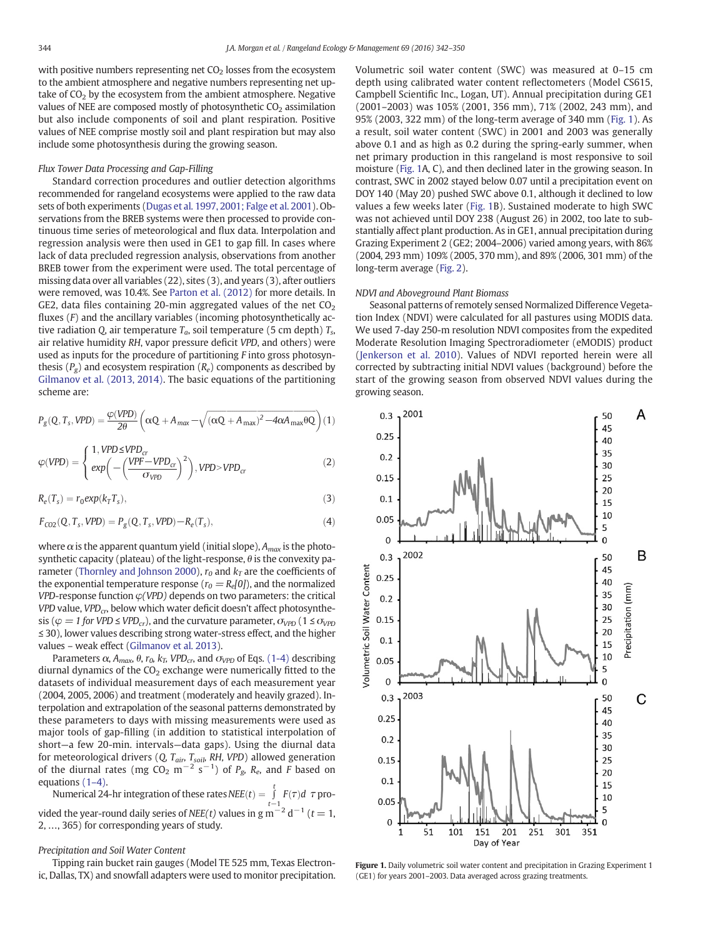<span id="page-2-0"></span>with positive numbers representing net  $CO<sub>2</sub>$  losses from the ecosystem to the ambient atmosphere and negative numbers representing net uptake of  $CO<sub>2</sub>$  by the ecosystem from the ambient atmosphere. Negative values of NEE are composed mostly of photosynthetic  $CO<sub>2</sub>$  assimilation but also include components of soil and plant respiration. Positive values of NEE comprise mostly soil and plant respiration but may also include some photosynthesis during the growing season.

# Flux Tower Data Processing and Gap-Filling

Standard correction procedures and outlier detection algorithms recommended for rangeland ecosystems were applied to the raw data sets of both experiments [\(Dugas et al. 1997, 2001; Falge et al. 2001\)](#page-7-0). Observations from the BREB systems were then processed to provide continuous time series of meteorological and flux data. Interpolation and regression analysis were then used in GE1 to gap fill. In cases where lack of data precluded regression analysis, observations from another BREB tower from the experiment were used. The total percentage of missing data over all variables (22), sites (3), and years (3), after outliers were removed, was 10.4%. See [Parton et al. \(2012\)](#page-8-0) for more details. In GE2, data files containing 20-min aggregated values of the net  $CO<sub>2</sub>$ fluxes  $(F)$  and the ancillary variables (incoming photosynthetically active radiation Q, air temperature  $T_a$ , soil temperature (5 cm depth)  $T_s$ , air relative humidity RH, vapor pressure deficit VPD, and others) were used as inputs for the procedure of partitioning F into gross photosynthesis ( $P_g$ ) and ecosystem respiration ( $R_e$ ) components as described by [Gilmanov et al. \(2013, 2014\).](#page-7-0) The basic equations of the partitioning scheme are:

$$
P_g(Q, T_s, VPD) = \frac{\varphi(VPD)}{2\theta} \left( \alpha Q + A_{\text{max}} - \sqrt{(\alpha Q + A_{\text{max}})^2 - 4\alpha A_{\text{max}} \theta Q} \right) (1)
$$

$$
\varphi(VPD) = \begin{cases} 1, VPD \le VPD_{cr} \\ exp\left(-\left(\frac{VPF - VPD_{cr}}{\sigma_{VPD}}\right)^2\right), VPD > VPD_{cr} \end{cases}
$$
(2)

$$
R_e(T_s) = r_0 \exp(k_\text{T} T_s),\tag{3}
$$

$$
F_{CO2}(Q, T_s, VPD) = P_g(Q, T_s, VPD) - R_e(T_s),
$$
\n(4)

where  $\alpha$  is the apparent quantum yield (initial slope),  $A_{max}$  is the photosynthetic capacity (plateau) of the light-response,  $\theta$  is the convexity pa-rameter ([Thornley and Johnson 2000\)](#page-8-0),  $r_0$  and  $k_T$  are the coefficients of the exponential temperature response ( $r_0 = R_e[0]$ ), and the normalized *VPD*-response function  $\varphi$ (*VPD*) depends on two parameters: the critical VPD value, VPD $_{cr}$ , below which water deficit doesn't affect photosynthesis ( $\varphi = 1$  for VPD  $\leq$  VPD<sub>cr</sub>), and the curvature parameter,  $\sigma_{\text{VPD}}$  (1  $\leq$   $\sigma_{\text{VPD}}$ ≤ 30), lower values describing strong water-stress effect, and the higher values – weak effect ([Gilmanov et al. 2013](#page-7-0)).

Parameters  $\alpha$ ,  $A_{max}$ ,  $\theta$ ,  $r_0$ ,  $k_T$ ,  $VPD_{cr}$ , and  $\sigma_{VPD}$  of Eqs. (1-4) describing diurnal dynamics of the  $CO<sub>2</sub>$  exchange were numerically fitted to the datasets of individual measurement days of each measurement year (2004, 2005, 2006) and treatment (moderately and heavily grazed). Interpolation and extrapolation of the seasonal patterns demonstrated by these parameters to days with missing measurements were used as major tools of gap-filling (in addition to statistical interpolation of short—a few 20-min. intervals—data gaps). Using the diurnal data for meteorological drivers (Q,  $T_{air}$ ,  $T_{soib}$ , RH, VPD) allowed generation of the diurnal rates (mg CO<sub>2</sub> m<sup>-2</sup> s<sup>-1</sup>) of  $P_g$ ,  $R_e$ , and F based on equations (1–4).

Numerical 24-hr integration of these rates  $NEE(t) = \int_0^t$  $\int_{t-1}$  *F*(*τ*)*d τ* provided the year-round daily series of NEE(t) values in g m<sup>-2</sup> d<sup>-1</sup> (t = 1, 2, …, 365) for corresponding years of study.

## Precipitation and Soil Water Content

Tipping rain bucket rain gauges (Model TE 525 mm, Texas Electronic, Dallas, TX) and snowfall adapters were used to monitor precipitation. Volumetric soil water content (SWC) was measured at 0–15 cm depth using calibrated water content reflectometers (Model CS615, Campbell Scientific Inc., Logan, UT). Annual precipitation during GE1 (2001–2003) was 105% (2001, 356 mm), 71% (2002, 243 mm), and 95% (2003, 322 mm) of the long-term average of 340 mm (Fig. 1). As a result, soil water content (SWC) in 2001 and 2003 was generally above 0.1 and as high as 0.2 during the spring-early summer, when net primary production in this rangeland is most responsive to soil moisture (Fig. 1A, C), and then declined later in the growing season. In contrast, SWC in 2002 stayed below 0.07 until a precipitation event on DOY 140 (May 20) pushed SWC above 0.1, although it declined to low values a few weeks later (Fig. 1B). Sustained moderate to high SWC was not achieved until DOY 238 (August 26) in 2002, too late to substantially affect plant production. As in GE1, annual precipitation during Grazing Experiment 2 (GE2; 2004–2006) varied among years, with 86% (2004, 293 mm) 109% (2005, 370 mm), and 89% (2006, 301 mm) of the long-term average ([Fig. 2](#page-3-0)).

# NDVI and Aboveground Plant Biomass

Seasonal patterns of remotely sensed Normalized Difference Vegetation Index (NDVI) were calculated for all pastures using MODIS data. We used 7-day 250-m resolution NDVI composites from the expedited Moderate Resolution Imaging Spectroradiometer (eMODIS) product ([Jenkerson et al. 2010\)](#page-7-0). Values of NDVI reported herein were all corrected by subtracting initial NDVI values (background) before the start of the growing season from observed NDVI values during the growing season.



Figure 1. Daily volumetric soil water content and precipitation in Grazing Experiment 1 (GE1) for years 2001–2003. Data averaged across grazing treatments.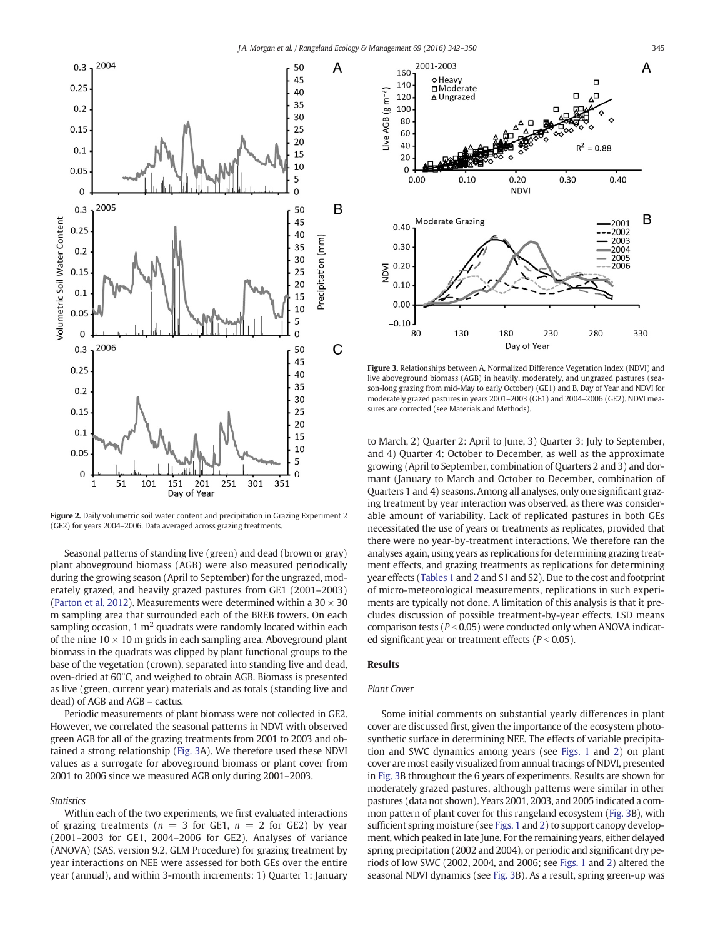<span id="page-3-0"></span>

Figure 2. Daily volumetric soil water content and precipitation in Grazing Experiment 2 (GE2) for years 2004–2006. Data averaged across grazing treatments.

Seasonal patterns of standing live (green) and dead (brown or gray) plant aboveground biomass (AGB) were also measured periodically during the growing season (April to September) for the ungrazed, moderately grazed, and heavily grazed pastures from GE1 (2001–2003) [\(Parton et al. 2012](#page-8-0)). Measurements were determined within a  $30 \times 30$ m sampling area that surrounded each of the BREB towers. On each sampling occasion, 1  $m<sup>2</sup>$  quadrats were randomly located within each of the nine  $10 \times 10$  m grids in each sampling area. Aboveground plant biomass in the quadrats was clipped by plant functional groups to the base of the vegetation (crown), separated into standing live and dead, oven-dried at 60°C, and weighed to obtain AGB. Biomass is presented as live (green, current year) materials and as totals (standing live and dead) of AGB and AGB – cactus.

Periodic measurements of plant biomass were not collected in GE2. However, we correlated the seasonal patterns in NDVI with observed green AGB for all of the grazing treatments from 2001 to 2003 and obtained a strong relationship (Fig. 3A). We therefore used these NDVI values as a surrogate for aboveground biomass or plant cover from 2001 to 2006 since we measured AGB only during 2001–2003.

**Statistics** 

Within each of the two experiments, we first evaluated interactions of grazing treatments ( $n = 3$  for GE1,  $n = 2$  for GE2) by year (2001–2003 for GE1, 2004–2006 for GE2). Analyses of variance (ANOVA) (SAS, version 9.2, GLM Procedure) for grazing treatment by year interactions on NEE were assessed for both GEs over the entire year (annual), and within 3-month increments: 1) Quarter 1: January



Figure 3. Relationships between A, Normalized Difference Vegetation Index (NDVI) and live aboveground biomass (AGB) in heavily, moderately, and ungrazed pastures (season-long grazing from mid-May to early October) (GE1) and B, Day of Year and NDVI for moderately grazed pastures in years 2001–2003 (GE1) and 2004–2006 (GE2). NDVI measures are corrected (see Materials and Methods).

to March, 2) Quarter 2: April to June, 3) Quarter 3: July to September, and 4) Quarter 4: October to December, as well as the approximate growing (April to September, combination of Quarters 2 and 3) and dormant (January to March and October to December, combination of Quarters 1 and 4) seasons. Among all analyses, only one significant grazing treatment by year interaction was observed, as there was considerable amount of variability. Lack of replicated pastures in both GEs necessitated the use of years or treatments as replicates, provided that there were no year-by-treatment interactions. We therefore ran the analyses again, using years as replications for determining grazing treatment effects, and grazing treatments as replications for determining year effects [\(Tables 1](#page-4-0) and [2](#page-4-0) and S1 and S2). Due to the cost and footprint of micro-meteorological measurements, replications in such experiments are typically not done. A limitation of this analysis is that it precludes discussion of possible treatment-by-year effects. LSD means comparison tests ( $P < 0.05$ ) were conducted only when ANOVA indicated significant year or treatment effects ( $P < 0.05$ ).

# **Results**

# Plant Cover

Some initial comments on substantial yearly differences in plant cover are discussed first, given the importance of the ecosystem photosynthetic surface in determining NEE. The effects of variable precipitation and SWC dynamics among years (see [Figs. 1](#page-2-0) and 2) on plant cover are most easily visualized from annual tracings of NDVI, presented in Fig. 3B throughout the 6 years of experiments. Results are shown for moderately grazed pastures, although patterns were similar in other pastures (data not shown). Years 2001, 2003, and 2005 indicated a common pattern of plant cover for this rangeland ecosystem (Fig. 3B), with sufficient spring moisture (see [Figs. 1](#page-2-0) and 2) to support canopy development, which peaked in late June. For the remaining years, either delayed spring precipitation (2002 and 2004), or periodic and significant dry periods of low SWC (2002, 2004, and 2006; see [Figs. 1](#page-2-0) and 2) altered the seasonal NDVI dynamics (see Fig. 3B). As a result, spring green-up was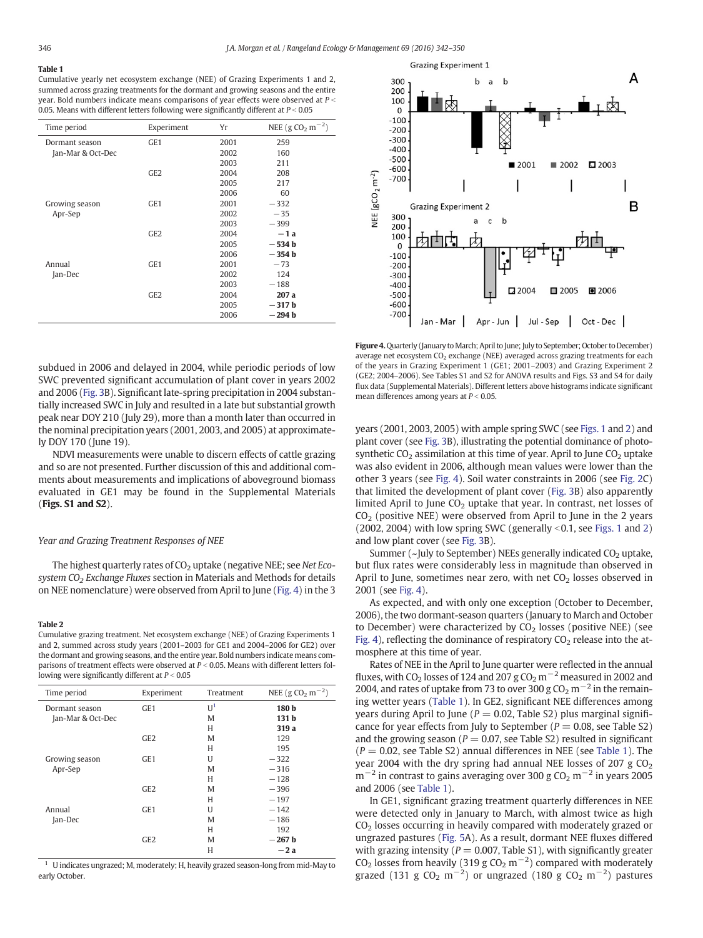# <span id="page-4-0"></span>Table 1

Cumulative yearly net ecosystem exchange (NEE) of Grazing Experiments 1 and 2, summed across grazing treatments for the dormant and growing seasons and the entire year. Bold numbers indicate means comparisons of year effects were observed at  $P \le$ 0.05. Means with different letters following were significantly different at  $P < 0.05$ 

| Time period       | Experiment      | Yr   | NEE (g CO <sub>2</sub> m <sup>-2</sup> ) |
|-------------------|-----------------|------|------------------------------------------|
| Dormant season    | GE <sub>1</sub> | 2001 | 259                                      |
| Jan-Mar & Oct-Dec |                 | 2002 | 160                                      |
|                   |                 | 2003 | 211                                      |
|                   | GE <sub>2</sub> | 2004 | 208                                      |
|                   |                 | 2005 | 217                                      |
|                   |                 | 2006 | 60                                       |
| Growing season    | GE <sub>1</sub> | 2001 | $-332$                                   |
| Apr-Sep           |                 | 2002 | $-35$                                    |
|                   |                 | 2003 | $-399$                                   |
|                   | GE <sub>2</sub> | 2004 | $-1a$                                    |
|                   |                 | 2005 | $-534b$                                  |
|                   |                 | 2006 | $-354b$                                  |
| Annual            | GE <sub>1</sub> | 2001 | $-73$                                    |
| Jan-Dec           |                 | 2002 | 124                                      |
|                   |                 | 2003 | $-188$                                   |
|                   | GE <sub>2</sub> | 2004 | 207 a                                    |
|                   |                 | 2005 | $-317b$                                  |
|                   |                 | 2006 | $-294b$                                  |

subdued in 2006 and delayed in 2004, while periodic periods of low SWC prevented significant accumulation of plant cover in years 2002 and 2006 [\(Fig. 3](#page-3-0)B). Significant late-spring precipitation in 2004 substantially increased SWC in July and resulted in a late but substantial growth peak near DOY 210 (July 29), more than a month later than occurred in the nominal precipitation years (2001, 2003, and 2005) at approximately DOY 170 (June 19).

NDVI measurements were unable to discern effects of cattle grazing and so are not presented. Further discussion of this and additional comments about measurements and implications of aboveground biomass evaluated in GE1 may be found in the Supplemental Materials (Figs. S1 and S2).

## Year and Grazing Treatment Responses of NEE

The highest quarterly rates of  $CO<sub>2</sub>$  uptake (negative NEE; see Net Ecosystem  $CO<sub>2</sub>$  Exchange Fluxes section in Materials and Methods for details on NEE nomenclature) were observed from April to June (Fig. 4) in the 3

#### Table 2

Cumulative grazing treatment. Net ecosystem exchange (NEE) of Grazing Experiments 1 and 2, summed across study years (2001–2003 for GE1 and 2004–2006 for GE2) over the dormant and growing seasons, and the entire year. Bold numbers indicate means comparisons of treatment effects were observed at  $P < 0.05$ . Means with different letters following were significantly different at  $P < 0.05$ 

| Time period       | Experiment      | Treatment      | NEE (g CO <sub>2</sub> m <sup>-2</sup> ) |
|-------------------|-----------------|----------------|------------------------------------------|
| Dormant season    | GE <sub>1</sub> | U <sup>1</sup> | 180 b                                    |
| Jan-Mar & Oct-Dec |                 | M              | 131 <sub>b</sub>                         |
|                   |                 | Н              | 319 a                                    |
|                   | GE <sub>2</sub> | M              | 129                                      |
|                   |                 | Н              | 195                                      |
| Growing season    | GE <sub>1</sub> | U              | $-322$                                   |
| Apr-Sep           |                 | M              | $-316$                                   |
|                   |                 | Н              | $-128$                                   |
|                   | GE2             | M              | $-396$                                   |
|                   |                 | Н              | $-197$                                   |
| Annual            | GE <sub>1</sub> | U              | $-142$                                   |
| Jan-Dec           |                 | M              | $-186$                                   |
|                   |                 | Н              | 192                                      |
|                   | GE <sub>2</sub> | M              | $-267b$                                  |
|                   |                 | Н              | $-2a$                                    |

<sup>1</sup> U indicates ungrazed; M, moderately; H, heavily grazed season-long from mid-May to early October.



Figure 4. Quarterly (January to March; April to June; July to September; October to December) average net ecosystem  $CO<sub>2</sub>$  exchange (NEE) averaged across grazing treatments for each of the years in Grazing Experiment 1 (GE1; 2001–2003) and Grazing Experiment 2 (GE2; 2004–2006). See Tables S1 and S2 for ANOVA results and Figs. S3 and S4 for daily flux data (Supplemental Materials). Different letters above histograms indicate significant mean differences among years at  $P < 0.05$ .

years (2001, 2003, 2005) with ample spring SWC (see [Figs. 1](#page-2-0) and [2](#page-3-0)) and plant cover (see [Fig. 3B](#page-3-0)), illustrating the potential dominance of photosynthetic  $CO<sub>2</sub>$  assimilation at this time of year. April to June  $CO<sub>2</sub>$  uptake was also evident in 2006, although mean values were lower than the other 3 years (see Fig. 4). Soil water constraints in 2006 (see [Fig. 2](#page-3-0)C) that limited the development of plant cover ([Fig. 3](#page-3-0)B) also apparently limited April to June  $CO<sub>2</sub>$  uptake that year. In contrast, net losses of  $CO<sub>2</sub>$  (positive NEE) were observed from April to June in the 2 years (2002, 2004) with low spring SWC (generally  $\leq$  0.1, see [Figs. 1](#page-2-0) and [2\)](#page-3-0) and low plant cover (see [Fig. 3B](#page-3-0)).

Summer ( $\nu$ July to September) NEEs generally indicated CO<sub>2</sub> uptake, but flux rates were considerably less in magnitude than observed in April to June, sometimes near zero, with net  $CO<sub>2</sub>$  losses observed in 2001 (see Fig. 4).

As expected, and with only one exception (October to December, 2006), the two dormant-season quarters (January to March and October to December) were characterized by  $CO<sub>2</sub>$  losses (positive NEE) (see Fig. 4), reflecting the dominance of respiratory  $CO<sub>2</sub>$  release into the atmosphere at this time of year.

Rates of NEE in the April to June quarter were reflected in the annual fluxes, with CO<sub>2</sub> losses of 124 and 207 g CO<sub>2</sub> m<sup>-2</sup> measured in 2002 and 2004, and rates of uptake from 73 to over 300 g  $CO<sub>2</sub>$  m<sup>-2</sup> in the remaining wetter years (Table 1). In GE2, significant NEE differences among years during April to June ( $P = 0.02$ , Table S2) plus marginal significance for year effects from July to September ( $P = 0.08$ , see Table S2) and the growing season ( $P = 0.07$ , see Table S2) resulted in significant  $(P = 0.02$ , see Table S2) annual differences in NEE (see Table 1). The year 2004 with the dry spring had annual NEE losses of 207 g  $CO<sub>2</sub>$  $m^{-2}$  in contrast to gains averaging over 300 g CO<sub>2</sub> m<sup>-2</sup> in years 2005 and 2006 (see Table 1).

In GE1, significant grazing treatment quarterly differences in NEE were detected only in January to March, with almost twice as high CO<sub>2</sub> losses occurring in heavily compared with moderately grazed or ungrazed pastures [\(Fig. 5A](#page-5-0)). As a result, dormant NEE fluxes differed with grazing intensity ( $P = 0.007$ , Table S1), with significantly greater CO<sub>2</sub> losses from heavily (319 g CO<sub>2</sub> m<sup>-2</sup>) compared with moderately grazed (131 g CO<sub>2</sub> m<sup>−2</sup>) or ungrazed (180 g CO<sub>2</sub> m<sup>−2</sup>) pastures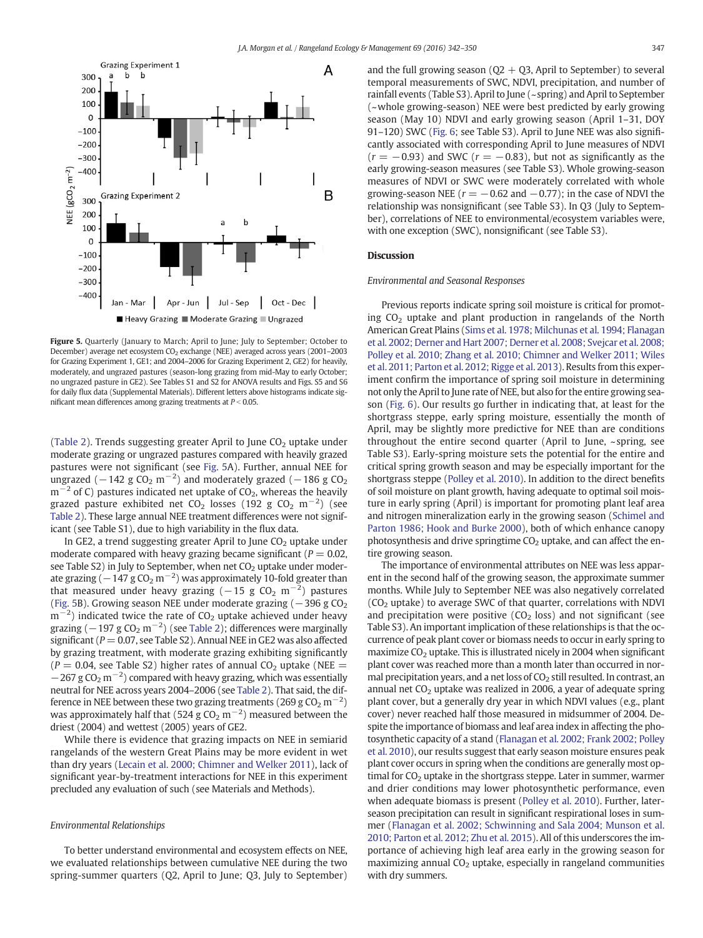<span id="page-5-0"></span>

Figure 5. Quarterly (January to March; April to June; July to September; October to December) average net ecosystem CO<sub>2</sub> exchange (NEE) averaged across years (2001–2003 for Grazing Experiment 1, GE1; and 2004–2006 for Grazing Experiment 2, GE2) for heavily, moderately, and ungrazed pastures (season-long grazing from mid-May to early October; no ungrazed pasture in GE2). See Tables S1 and S2 for ANOVA results and Figs. S5 and S6 for daily flux data (Supplemental Materials). Different letters above histograms indicate significant mean differences among grazing treatments at  $P < 0.05$ .

[\(Table 2\)](#page-4-0). Trends suggesting greater April to June  $CO<sub>2</sub>$  uptake under moderate grazing or ungrazed pastures compared with heavily grazed pastures were not significant (see Fig. 5A). Further, annual NEE for ungrazed ( $-142$  g CO<sub>2</sub> m $^{-2}$ ) and moderately grazed ( $-186$  g CO<sub>2</sub>  $m^{-2}$  of C) pastures indicated net uptake of CO<sub>2</sub>, whereas the heavily grazed pasture exhibited net CO<sub>2</sub> losses (192 g CO<sub>2</sub> m<sup>−2</sup>) (see [Table 2\)](#page-4-0). These large annual NEE treatment differences were not significant (see Table S1), due to high variability in the flux data.

In GE2, a trend suggesting greater April to June  $CO<sub>2</sub>$  uptake under moderate compared with heavy grazing became significant ( $P = 0.02$ , see Table  $S2$ ) in July to September, when net  $CO<sub>2</sub>$  uptake under moderate grazing ( $-147$  g CO<sub>2</sub> m $^{-2}$ ) was approximately 10-fold greater than that measured under heavy grazing ( $-15$  g CO<sub>2</sub> m<sup> $-2$ </sup>) pastures (Fig. 5B). Growing season NEE under moderate grazing ( $-396$  g CO<sub>2</sub>)  $\rm m^{-2})$  indicated twice the rate of CO<sub>2</sub> uptake achieved under heavy grazing ( $-197$  g CO<sub>2</sub> m<sup> $-2$ </sup>) (see [Table 2\)](#page-4-0); differences were marginally significant ( $P = 0.07$ , see Table S2). Annual NEE in GE2 was also affected by grazing treatment, with moderate grazing exhibiting significantly  $(P = 0.04$ , see Table S2) higher rates of annual CO<sub>2</sub> uptake (NEE =  $-267$  g CO<sub>2</sub> m<sup>-2</sup>) compared with heavy grazing, which was essentially neutral for NEE across years 2004–2006 (see [Table 2\)](#page-4-0). That said, the difference in NEE between these two grazing treatments (269 g CO<sub>2</sub> m<sup>-2</sup>) was approximately half that (524 g  $CO_2$  m<sup>-2</sup>) measured between the driest (2004) and wettest (2005) years of GE2.

While there is evidence that grazing impacts on NEE in semiarid rangelands of the western Great Plains may be more evident in wet than dry years [\(Lecain et al. 2000; Chimner and Welker 2011\)](#page-7-0), lack of significant year-by-treatment interactions for NEE in this experiment precluded any evaluation of such (see Materials and Methods).

# Environmental Relationships

To better understand environmental and ecosystem effects on NEE, we evaluated relationships between cumulative NEE during the two spring-summer quarters (Q2, April to June; Q3, July to September) and the full growing season ( $Q2 + Q3$ , April to September) to several temporal measurements of SWC, NDVI, precipitation, and number of rainfall events (Table S3). April to June (~spring) and April to September (~whole growing-season) NEE were best predicted by early growing

season (May 10) NDVI and early growing season (April 1–31, DOY 91–120) SWC ([Fig. 6](#page-6-0); see Table S3). April to June NEE was also significantly associated with corresponding April to June measures of NDVI  $(r = -0.93)$  and SWC  $(r = -0.83)$ , but not as significantly as the early growing-season measures (see Table S3). Whole growing-season measures of NDVI or SWC were moderately correlated with whole growing-season NEE ( $r = -0.62$  and  $-0.77$ ); in the case of NDVI the relationship was nonsignificant (see Table S3). In Q3 (July to September), correlations of NEE to environmental/ecosystem variables were, with one exception (SWC), nonsignificant (see Table S3).

# **Discussion**

# Environmental and Seasonal Responses

Previous reports indicate spring soil moisture is critical for promoting  $CO<sub>2</sub>$  uptake and plant production in rangelands of the North American Great Plains [\(Sims et al. 1978; Milchunas et al. 1994; Flanagan](#page-8-0) [et al. 2002; Derner and Hart 2007; Derner et al. 2008; Svejcar et al. 2008;](#page-8-0) [Polley et al. 2010; Zhang et al. 2010; Chimner and Welker 2011; Wiles](#page-8-0) [et al. 2011; Parton et al. 2012; Rigge et al. 2013\)](#page-8-0). Results from this experiment confirm the importance of spring soil moisture in determining not only the April to June rate of NEE, but also for the entire growing season [\(Fig. 6](#page-6-0)). Our results go further in indicating that, at least for the shortgrass steppe, early spring moisture, essentially the month of April, may be slightly more predictive for NEE than are conditions throughout the entire second quarter (April to June, ~spring, see Table S3). Early-spring moisture sets the potential for the entire and critical spring growth season and may be especially important for the shortgrass steppe [\(Polley et al. 2010](#page-8-0)). In addition to the direct benefits of soil moisture on plant growth, having adequate to optimal soil moisture in early spring (April) is important for promoting plant leaf area and nitrogen mineralization early in the growing season ([Schimel and](#page-8-0) [Parton 1986; Hook and Burke 2000\)](#page-8-0), both of which enhance canopy photosynthesis and drive springtime  $CO<sub>2</sub>$  uptake, and can affect the entire growing season.

The importance of environmental attributes on NEE was less apparent in the second half of the growing season, the approximate summer months. While July to September NEE was also negatively correlated  $(CO<sub>2</sub> uptake)$  to average SWC of that quarter, correlations with NDVI and precipitation were positive  $(CO<sub>2</sub>$  loss) and not significant (see Table S3). An important implication of these relationships is that the occurrence of peak plant cover or biomass needs to occur in early spring to maximize  $CO<sub>2</sub>$  uptake. This is illustrated nicely in 2004 when significant plant cover was reached more than a month later than occurred in normal precipitation years, and a net loss of  $CO<sub>2</sub>$  still resulted. In contrast, an annual net  $CO<sub>2</sub>$  uptake was realized in 2006, a year of adequate spring plant cover, but a generally dry year in which NDVI values (e.g., plant cover) never reached half those measured in midsummer of 2004. Despite the importance of biomass and leaf area index in affecting the photosynthetic capacity of a stand [\(Flanagan et al. 2002; Frank 2002; Polley](#page-7-0) [et al. 2010\)](#page-7-0), our results suggest that early season moisture ensures peak plant cover occurs in spring when the conditions are generally most optimal for  $CO<sub>2</sub>$  uptake in the shortgrass steppe. Later in summer, warmer and drier conditions may lower photosynthetic performance, even when adequate biomass is present [\(Polley et al. 2010](#page-8-0)). Further, laterseason precipitation can result in significant respirational loses in summer [\(Flanagan et al. 2002; Schwinning and Sala 2004; Munson et al.](#page-7-0) [2010; Parton et al. 2012; Zhu et al. 2015](#page-7-0)). All of this underscores the importance of achieving high leaf area early in the growing season for  $maximizing$  annual  $CO<sub>2</sub>$  uptake, especially in rangeland communities with dry summers.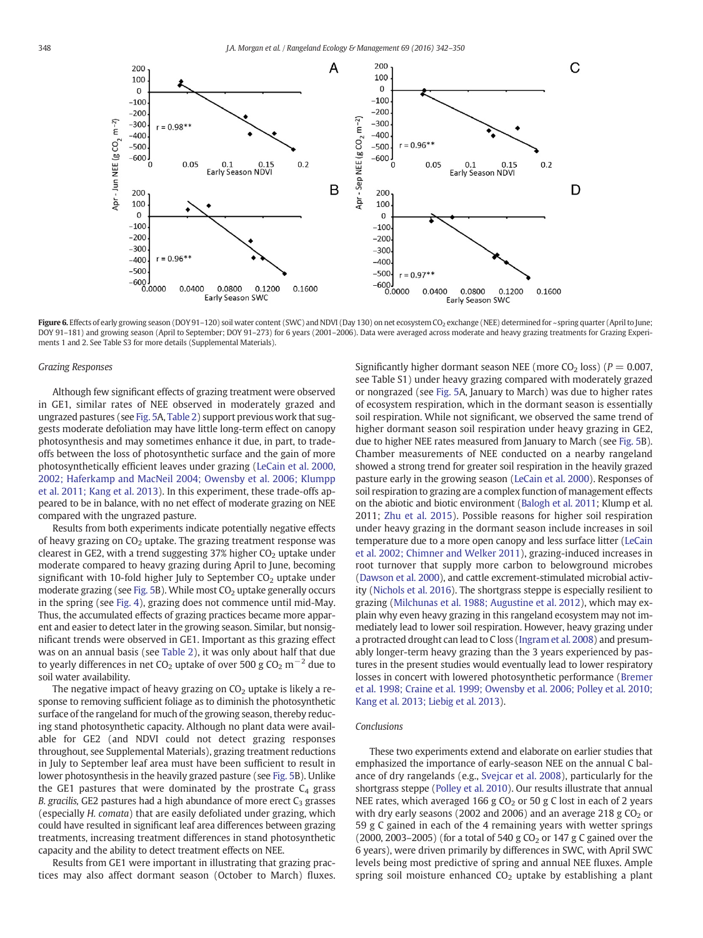<span id="page-6-0"></span>

Figure 6. Effects of early growing season (DOY 91-120) soil water content (SWC) and NDVI (Day 130) on net ecosystem CO<sub>2</sub> exchange (NEE) determined for ~spring quarter (April to June; DOY 91–181) and growing season (April to September; DOY 91–273) for 6 years (2001–2006). Data were averaged across moderate and heavy grazing treatments for Grazing Experiments 1 and 2. See Table S3 for more details (Supplemental Materials).

#### Grazing Responses

Although few significant effects of grazing treatment were observed in GE1, similar rates of NEE observed in moderately grazed and ungrazed pastures (see [Fig. 5A](#page-5-0), [Table 2](#page-4-0)) support previous work that suggests moderate defoliation may have little long-term effect on canopy photosynthesis and may sometimes enhance it due, in part, to tradeoffs between the loss of photosynthetic surface and the gain of more photosynthetically efficient leaves under grazing ([LeCain et al. 2000,](#page-7-0) [2002; Haferkamp and MacNeil 2004; Owensby et al. 2006; Klumpp](#page-7-0) [et al. 2011; Kang et al. 2013\)](#page-7-0). In this experiment, these trade-offs appeared to be in balance, with no net effect of moderate grazing on NEE compared with the ungrazed pasture.

Results from both experiments indicate potentially negative effects of heavy grazing on  $CO<sub>2</sub>$  uptake. The grazing treatment response was clearest in GE2, with a trend suggesting  $37\%$  higher  $CO<sub>2</sub>$  uptake under moderate compared to heavy grazing during April to June, becoming significant with 10-fold higher July to September  $CO<sub>2</sub>$  uptake under moderate grazing (see [Fig. 5](#page-5-0)B). While most  $CO<sub>2</sub>$  uptake generally occurs in the spring (see [Fig. 4\)](#page-4-0), grazing does not commence until mid-May. Thus, the accumulated effects of grazing practices became more apparent and easier to detect later in the growing season. Similar, but nonsignificant trends were observed in GE1. Important as this grazing effect was on an annual basis (see [Table 2\)](#page-4-0), it was only about half that due to yearly differences in net  $CO_2$  uptake of over 500 g  $CO_2$  m<sup>-2</sup> due to soil water availability.

The negative impact of heavy grazing on  $CO<sub>2</sub>$  uptake is likely a response to removing sufficient foliage as to diminish the photosynthetic surface of the rangeland for much of the growing season, thereby reducing stand photosynthetic capacity. Although no plant data were available for GE2 (and NDVI could not detect grazing responses throughout, see Supplemental Materials), grazing treatment reductions in July to September leaf area must have been sufficient to result in lower photosynthesis in the heavily grazed pasture (see [Fig. 5B](#page-5-0)). Unlike the GE1 pastures that were dominated by the prostrate  $C_4$  grass B. gracilis, GE2 pastures had a high abundance of more erect  $C_3$  grasses (especially H. comata) that are easily defoliated under grazing, which could have resulted in significant leaf area differences between grazing treatments, increasing treatment differences in stand photosynthetic capacity and the ability to detect treatment effects on NEE.

Results from GE1 were important in illustrating that grazing practices may also affect dormant season (October to March) fluxes. Significantly higher dormant season NEE (more  $CO<sub>2</sub>$  loss) ( $P = 0.007$ , see Table S1) under heavy grazing compared with moderately grazed or nongrazed (see [Fig. 5A](#page-5-0), January to March) was due to higher rates of ecosystem respiration, which in the dormant season is essentially soil respiration. While not significant, we observed the same trend of higher dormant season soil respiration under heavy grazing in GE2, due to higher NEE rates measured from January to March (see [Fig. 5B](#page-5-0)). Chamber measurements of NEE conducted on a nearby rangeland showed a strong trend for greater soil respiration in the heavily grazed pasture early in the growing season ([LeCain et al. 2000\)](#page-7-0). Responses of soil respiration to grazing are a complex function of management effects on the abiotic and biotic environment ([Balogh et al. 2011;](#page-7-0) Klump et al. 2011; [Zhu et al. 2015](#page-8-0)). Possible reasons for higher soil respiration under heavy grazing in the dormant season include increases in soil temperature due to a more open canopy and less surface litter [\(LeCain](#page-8-0) [et al. 2002; Chimner and Welker 2011\)](#page-8-0), grazing-induced increases in root turnover that supply more carbon to belowground microbes ([Dawson et al. 2000](#page-7-0)), and cattle excrement-stimulated microbial activity [\(Nichols et al. 2016](#page-8-0)). The shortgrass steppe is especially resilient to grazing ([Milchunas et al. 1988; Augustine et al. 2012](#page-8-0)), which may explain why even heavy grazing in this rangeland ecosystem may not immediately lead to lower soil respiration. However, heavy grazing under a protracted drought can lead to C loss ([Ingram et al. 2008](#page-7-0)) and presumably longer-term heavy grazing than the 3 years experienced by pastures in the present studies would eventually lead to lower respiratory losses in concert with lowered photosynthetic performance ([Bremer](#page-7-0) [et al. 1998; Craine et al. 1999; Owensby et al. 2006; Polley et al. 2010;](#page-7-0) [Kang et al. 2013; Liebig et al. 2013](#page-7-0)).

## Conclusions

These two experiments extend and elaborate on earlier studies that emphasized the importance of early-season NEE on the annual C balance of dry rangelands (e.g., [Svejcar et al. 2008](#page-8-0)), particularly for the shortgrass steppe [\(Polley et al. 2010\)](#page-8-0). Our results illustrate that annual NEE rates, which averaged 166 g  $CO<sub>2</sub>$  or 50 g C lost in each of 2 years with dry early seasons (2002 and 2006) and an average 218 g  $CO<sub>2</sub>$  or 59 g C gained in each of the 4 remaining years with wetter springs (2000, 2003–2005) (for a total of 540 g  $CO<sub>2</sub>$  or 147 g C gained over the 6 years), were driven primarily by differences in SWC, with April SWC levels being most predictive of spring and annual NEE fluxes. Ample spring soil moisture enhanced  $CO<sub>2</sub>$  uptake by establishing a plant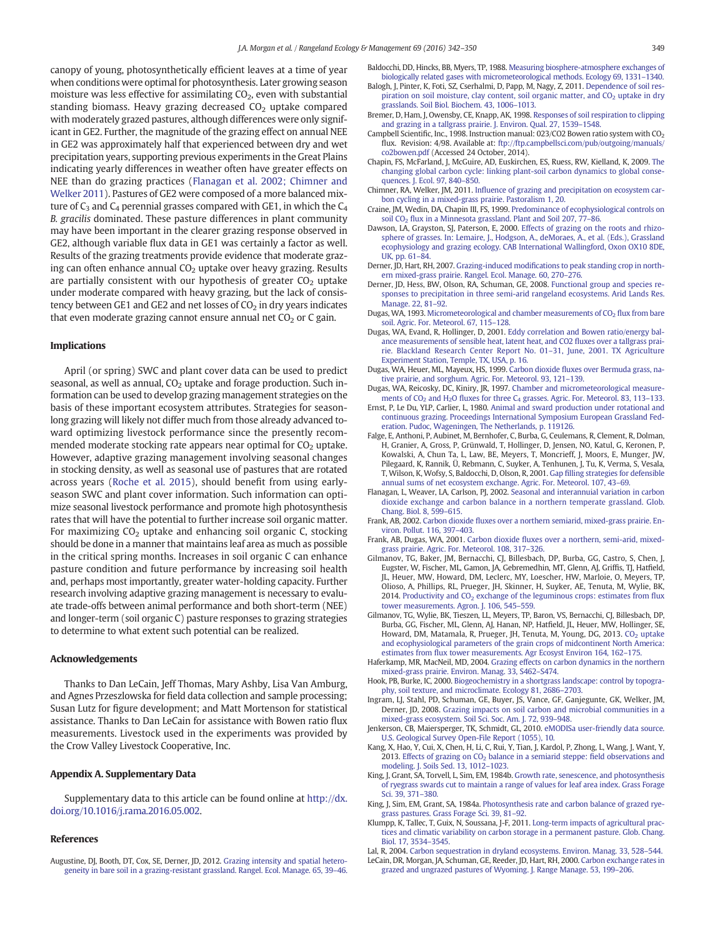<span id="page-7-0"></span>canopy of young, photosynthetically efficient leaves at a time of year when conditions were optimal for photosynthesis. Later growing season moisture was less effective for assimilating  $CO<sub>2</sub>$ , even with substantial standing biomass. Heavy grazing decreased  $CO<sub>2</sub>$  uptake compared with moderately grazed pastures, although differences were only significant in GE2. Further, the magnitude of the grazing effect on annual NEE in GE2 was approximately half that experienced between dry and wet precipitation years, supporting previous experiments in the Great Plains indicating yearly differences in weather often have greater effects on NEE than do grazing practices (Flanagan et al. 2002; Chimner and Welker 2011). Pastures of GE2 were composed of a more balanced mixture of  $C_3$  and  $C_4$  perennial grasses compared with GE1, in which the  $C_4$ B. gracilis dominated. These pasture differences in plant community may have been important in the clearer grazing response observed in GE2, although variable flux data in GE1 was certainly a factor as well. Results of the grazing treatments provide evidence that moderate grazing can often enhance annual  $CO<sub>2</sub>$  uptake over heavy grazing. Results are partially consistent with our hypothesis of greater  $CO<sub>2</sub>$  uptake under moderate compared with heavy grazing, but the lack of consistency between GE1 and GE2 and net losses of  $CO<sub>2</sub>$  in dry years indicates that even moderate grazing cannot ensure annual net  $CO<sub>2</sub>$  or C gain.

# Implications

April (or spring) SWC and plant cover data can be used to predict seasonal, as well as annual,  $CO<sub>2</sub>$  uptake and forage production. Such information can be used to develop grazing management strategies on the basis of these important ecosystem attributes. Strategies for seasonlong grazing will likely not differ much from those already advanced toward optimizing livestock performance since the presently recommended moderate stocking rate appears near optimal for  $CO<sub>2</sub>$  uptake. However, adaptive grazing management involving seasonal changes in stocking density, as well as seasonal use of pastures that are rotated across years [\(Roche et al. 2015](#page-8-0)), should benefit from using earlyseason SWC and plant cover information. Such information can optimize seasonal livestock performance and promote high photosynthesis rates that will have the potential to further increase soil organic matter. For maximizing  $CO<sub>2</sub>$  uptake and enhancing soil organic C, stocking should be done in a manner that maintains leaf area as much as possible in the critical spring months. Increases in soil organic C can enhance pasture condition and future performance by increasing soil health and, perhaps most importantly, greater water-holding capacity. Further research involving adaptive grazing management is necessary to evaluate trade-offs between animal performance and both short-term (NEE) and longer-term (soil organic C) pasture responses to grazing strategies to determine to what extent such potential can be realized.

# Acknowledgements

Thanks to Dan LeCain, Jeff Thomas, Mary Ashby, Lisa Van Amburg, and Agnes Przeszlowska for field data collection and sample processing; Susan Lutz for figure development; and Matt Mortenson for statistical assistance. Thanks to Dan LeCain for assistance with Bowen ratio flux measurements. Livestock used in the experiments was provided by the Crow Valley Livestock Cooperative, Inc.

## Appendix A. Supplementary Data

Supplementary data to this article can be found online at [http://dx.](http://dx.doi.org/10.1016/j.rama.2016.05.002) [doi.org/10.1016/j.rama.2016.05.002.](http://dx.doi.org/10.1016/j.rama.2016.05.002)

#### References

Augustine, DJ, Booth, DT, Cox, SE, Derner, JD, 2012. [Grazing intensity and spatial hetero](http://refhub.elsevier.com/S1550-7424(16)30027-6/rf0005)[geneity in bare soil in a grazing-resistant grassland. Rangel. Ecol. Manage. 65, 39](http://refhub.elsevier.com/S1550-7424(16)30027-6/rf0005)–46. Baldocchi, DD, Hincks, BB, Myers, TP, 1988. [Measuring biosphere-atmosphere exchanges of](http://refhub.elsevier.com/S1550-7424(16)30027-6/rf0010) [biologically related gases with micrometeorological methods. Ecology 69, 1331](http://refhub.elsevier.com/S1550-7424(16)30027-6/rf0010)–1340.

- Balogh, J, Pinter, K, Foti, SZ, Cserhalmi, D, Papp, M, Nagy, Z, 2011. [Dependence of soil res](http://refhub.elsevier.com/S1550-7424(16)30027-6/rf0015)piration on soil moisture, clay content, soil organic matter, and CO<sub>2</sub> [uptake in dry](http://refhub.elsevier.com/S1550-7424(16)30027-6/rf0015) [grasslands. Soil Biol. Biochem. 43, 1006](http://refhub.elsevier.com/S1550-7424(16)30027-6/rf0015)–1013.
- Bremer, D, Ham, J, Owensby, CE, Knapp, AK, 1998. [Responses of soil respiration to clipping](http://refhub.elsevier.com/S1550-7424(16)30027-6/rf0020) [and grazing in a tallgrass prairie. J. Environ. Qual. 27, 1539](http://refhub.elsevier.com/S1550-7424(16)30027-6/rf0020)–1548.
- Campbell Scientific, Inc., 1998. Instruction manual: 023/CO2 Bowen ratio system with  $CO<sub>2</sub>$ flux. Revision: 4/98. Available at: [ftp://ftp.campbellsci.com/pub/outgoing/manuals/](ftp://ftp.campbellsci.com/pub/outgoing/manuals/co2bowen.pdf) [co2bowen.pdf](ftp://ftp.campbellsci.com/pub/outgoing/manuals/co2bowen.pdf) (Accessed 24 October, 2014).
- Chapin, FS, McFarland, J, McGuire, AD, Euskirchen, ES, Ruess, RW, Kielland, K, 2009. [The](http://refhub.elsevier.com/S1550-7424(16)30027-6/rf0030) [changing global carbon cycle: linking plant-soil carbon dynamics to global conse](http://refhub.elsevier.com/S1550-7424(16)30027-6/rf0030)[quences. J. Ecol. 97, 840](http://refhub.elsevier.com/S1550-7424(16)30027-6/rf0030)–850.
- Chimner, RA, Welker, JM, 2011. Infl[uence of grazing and precipitation on ecosystem car](http://refhub.elsevier.com/S1550-7424(16)30027-6/rf0035)[bon cycling in a mixed-grass prairie. Pastoralism 1, 20](http://refhub.elsevier.com/S1550-7424(16)30027-6/rf0035).
- Craine, JM, Wedin, DA, Chapin III, FS, 1999. [Predominance of ecophysiological controls on](http://refhub.elsevier.com/S1550-7424(16)30027-6/rf0040) [soil CO2](http://refhub.elsevier.com/S1550-7424(16)30027-6/rf0040) fl[ux in a Minnesota grassland. Plant and Soil 207, 77](http://refhub.elsevier.com/S1550-7424(16)30027-6/rf0040)–86.
- Dawson, LA, Grayston, SJ, Paterson, E, 2000. [Effects of grazing on the roots and rhizo](http://refhub.elsevier.com/S1550-7424(16)30027-6/rf0045)[sphere of grasses. In: Lemaire, J., Hodgson, A., deMoraes, A., et al. \(Eds.\), Grassland](http://refhub.elsevier.com/S1550-7424(16)30027-6/rf0045) [ecophysiology and grazing ecology. CAB International Wallingford, Oxon OX10 8DE,](http://refhub.elsevier.com/S1550-7424(16)30027-6/rf0045) [UK, pp. 61](http://refhub.elsevier.com/S1550-7424(16)30027-6/rf0045)–84.
- Derner, JD, Hart, RH, 2007. Grazing-induced modifi[cations to peak standing crop in north](http://refhub.elsevier.com/S1550-7424(16)30027-6/rf0050)[ern mixed-grass prairie. Rangel. Ecol. Manage. 60, 270](http://refhub.elsevier.com/S1550-7424(16)30027-6/rf0050)–276.
- Derner, JD, Hess, BW, Olson, RA, Schuman, GE, 2008. [Functional group and species re](http://refhub.elsevier.com/S1550-7424(16)30027-6/rf0055)[sponses to precipitation in three semi-arid rangeland ecosystems. Arid Lands Res.](http://refhub.elsevier.com/S1550-7424(16)30027-6/rf0055) [Manage. 22, 81](http://refhub.elsevier.com/S1550-7424(16)30027-6/rf0055)–92.
- Dugas, WA, 1993. Micrometeorological and chamber measurements of  $CO<sub>2</sub>$  fl[ux from bare](http://refhub.elsevier.com/S1550-7424(16)30027-6/rf0060) [soil. Agric. For. Meteorol. 67, 115](http://refhub.elsevier.com/S1550-7424(16)30027-6/rf0060)–128.
- Dugas, WA, Evand, R, Hollinger, D, 2001. [Eddy correlation and Bowen ratio/energy bal](http://refhub.elsevier.com/S1550-7424(16)30027-6/rf0065)[ance measurements of sensible heat, latent heat, and CO2](http://refhub.elsevier.com/S1550-7424(16)30027-6/rf0065) fluxes over a tallgrass prai[rie. Blackland Research Center Report No. 01](http://refhub.elsevier.com/S1550-7424(16)30027-6/rf0065)–31, June, 2001. TX Agriculture [Experiment Station, Temple, TX, USA, p. 16.](http://refhub.elsevier.com/S1550-7424(16)30027-6/rf0065)
- Dugas, WA, Heuer, ML, Mayeux, HS, 1999. Carbon dioxide fl[uxes over Bermuda grass, na](http://refhub.elsevier.com/S1550-7424(16)30027-6/rf0070)[tive prairie, and sorghum. Agric. For. Meteorol. 93, 121](http://refhub.elsevier.com/S1550-7424(16)30027-6/rf0070)–139.
- Dugas, WA, Reicosky, DC, Kiniry, JR, 1997. [Chamber and micrometeorological measure](http://refhub.elsevier.com/S1550-7424(16)30027-6/rf0075)ments of  $CO<sub>2</sub>$  and  $H<sub>2</sub>O$  fluxes for three  $C<sub>4</sub>$  [grasses. Agric. For. Meteorol. 83, 113](http://refhub.elsevier.com/S1550-7424(16)30027-6/rf0075)–133.
- Ernst, P, Le Du, YLP, Carlier, L, 1980. [Animal and sward production under rotational and](http://refhub.elsevier.com/S1550-7424(16)30027-6/rf0080) [continuous grazing. Proceedings International Symposium European Grassland Fed](http://refhub.elsevier.com/S1550-7424(16)30027-6/rf0080)[eration. Pudoc, Wageningen, The Netherlands, p. 119126.](http://refhub.elsevier.com/S1550-7424(16)30027-6/rf0080)
- Falge, E, Anthoni, P, Aubinet, M, Bernhofer, C, Burba, G, Ceulemans, R, Clement, R, Dolman, H, Granier, A, Gross, P, Grünwald, T, Hollinger, D, Jensen, NO, Katul, G, Keronen, P, Kowalski, A, Chun Ta, L, Law, BE, Meyers, T, Moncrieff, J, Moors, E, Munger, JW, Pilegaard, K, Rannik, Ü, Rebmann, C, Suyker, A, Tenhunen, J, Tu, K, Verma, S, Vesala, T, Wilson, K, Wofsy, S, Baldocchi, D, Olson, R, 2001. Gap fi[lling strategies for defensible](http://refhub.elsevier.com/S1550-7424(16)30027-6/rf0085) [annual sums of net ecosystem exchange. Agric. For. Meteorol. 107, 43](http://refhub.elsevier.com/S1550-7424(16)30027-6/rf0085)–69.
- Flanagan, L, Weaver, LA, Carlson, PJ, 2002. [Seasonal and interannuial variation in carbon](http://refhub.elsevier.com/S1550-7424(16)30027-6/rf0090) [dioxide exchange and carbon balance in a northern temperate grassland. Glob.](http://refhub.elsevier.com/S1550-7424(16)30027-6/rf0090) [Chang. Biol. 8, 599](http://refhub.elsevier.com/S1550-7424(16)30027-6/rf0090)–615.
- Frank, AB, 2002. Carbon dioxide fl[uxes over a northern semiarid, mixed-grass prairie. En](http://refhub.elsevier.com/S1550-7424(16)30027-6/rf0095)[viron. Pollut. 116, 397](http://refhub.elsevier.com/S1550-7424(16)30027-6/rf0095)–403.
- Frank, AB, Dugas, WA, 2001. Carbon dioxide fl[uxes over a northern, semi-arid, mixed](http://refhub.elsevier.com/S1550-7424(16)30027-6/rf0100)[grass prairie. Agric. For. Meteorol. 108, 317](http://refhub.elsevier.com/S1550-7424(16)30027-6/rf0100)–326.
- Gilmanov, TG, Baker, JM, Bernacchi, CJ, Billesbach, DP, Burba, GG, Castro, S, Chen, J, Eugster, W, Fischer, ML, Gamon, JA, Gebremedhin, MT, Glenn, AJ, Griffis, TJ, Hatfield, JL, Heuer, MW, Howard, DM, Leclerc, MY, Loescher, HW, Marloie, O, Meyers, TP, Olioso, A, Phillips, RL, Prueger, JH, Skinner, H, Suyker, AE, Tenuta, M, Wylie, BK, 2014. Productivity and  $CO<sub>2</sub>$  [exchange of the leguminous crops: estimates from](http://refhub.elsevier.com/S1550-7424(16)30027-6/rf0105) flux [tower measurements. Agron. J. 106, 545](http://refhub.elsevier.com/S1550-7424(16)30027-6/rf0105)–559.
- Gilmanov, TG, Wylie, BK, Tieszen, LL, Meyers, TP, Baron, VS, Bernacchi, CJ, Billesbach, DP, Burba, GG, Fischer, ML, Glenn, AJ, Hanan, NP, Hatfield, JL, Heuer, MW, Hollinger, SE, Howard, DM, Matamala, R, Prueger, JH, Tenuta, M, Young, DG, 2013. CO<sub>2</sub> [uptake](http://refhub.elsevier.com/S1550-7424(16)30027-6/rf0110) [and ecophysiological parameters of the grain crops of midcontinent North America:](http://refhub.elsevier.com/S1550-7424(16)30027-6/rf0110) estimates from fl[ux tower measurements. Agr Ecosyst Environ 164, 162](http://refhub.elsevier.com/S1550-7424(16)30027-6/rf0110)–175.
- Haferkamp, MR, MacNeil, MD, 2004. [Grazing effects on carbon dynamics in the northern](http://refhub.elsevier.com/S1550-7424(16)30027-6/rf0115) [mixed-grass prairie. Environ. Manag. 33, S462](http://refhub.elsevier.com/S1550-7424(16)30027-6/rf0115)–S474.
- Hook, PB, Burke, IC, 2000. [Biogeochemistry in a shortgrass landscape: control by topogra](http://refhub.elsevier.com/S1550-7424(16)30027-6/rf0120)[phy, soil texture, and microclimate. Ecology 81, 2686](http://refhub.elsevier.com/S1550-7424(16)30027-6/rf0120)–2703.
- Ingram, LJ, Stahl, PD, Schuman, GE, Buyer, JS, Vance, GF, Ganjegunte, GK, Welker, JM, Derner, JD, 2008. [Grazing impacts on soil carbon and microbial communities in a](http://refhub.elsevier.com/S1550-7424(16)30027-6/rf0125) [mixed-grass ecosystem. Soil Sci. Soc. Am. J. 72, 939](http://refhub.elsevier.com/S1550-7424(16)30027-6/rf0125)–948.
- Jenkerson, CB, Maiersperger, TK, Schmidt, GL, 2010. [eMODISa user-friendly data source.](http://refhub.elsevier.com/S1550-7424(16)30027-6/rf0130) [U.S. Geological Survey Open-File Report \(1055\), 10](http://refhub.elsevier.com/S1550-7424(16)30027-6/rf0130).
- Kang, X, Hao, Y, Cui, X, Chen, H, Li, C, Rui, Y, Tian, J, Kardol, P, Zhong, L, Wang, J, Want, Y, 2013. Effects of grazing on  $CO<sub>2</sub>$  [balance in a semiarid steppe:](http://refhub.elsevier.com/S1550-7424(16)30027-6/rf0135) field observations and [modeling. J. Soils Sed. 13, 1012](http://refhub.elsevier.com/S1550-7424(16)30027-6/rf0135)–1023.
- King, J, Grant, SA, Torvell, L, Sim, EM, 1984b. [Growth rate, senescence, and photosynthesis](http://refhub.elsevier.com/S1550-7424(16)30027-6/rf0140) [of ryegrass swards cut to maintain a range of values for leaf area index. Grass Forage](http://refhub.elsevier.com/S1550-7424(16)30027-6/rf0140) [Sci. 39, 371](http://refhub.elsevier.com/S1550-7424(16)30027-6/rf0140)–380.
- King, J, Sim, EM, Grant, SA, 1984a. [Photosynthesis rate and carbon balance of grazed rye](http://refhub.elsevier.com/S1550-7424(16)30027-6/rf0145)[grass pastures. Grass Forage Sci. 39, 81](http://refhub.elsevier.com/S1550-7424(16)30027-6/rf0145)–92.
- Klumpp, K, Tallec, T, Guix, N, Soussana, J-F, 2011. [Long-term impacts of agricultural prac](http://refhub.elsevier.com/S1550-7424(16)30027-6/rf0150)[tices and climatic variability on carbon storage in a permanent pasture. Glob. Chang.](http://refhub.elsevier.com/S1550-7424(16)30027-6/rf0150) [Biol. 17, 3534](http://refhub.elsevier.com/S1550-7424(16)30027-6/rf0150)–3545.
- Lal, R, 2004. [Carbon sequestration in dryland ecosystems. Environ. Manag. 33, 528](http://refhub.elsevier.com/S1550-7424(16)30027-6/rf0155)–544. LeCain, DR, Morgan, JA, Schuman, GE, Reeder, JD, Hart, RH, 2000. [Carbon exchange rates in](http://refhub.elsevier.com/S1550-7424(16)30027-6/rf0160)
	- [grazed and ungrazed pastures of Wyoming. J. Range Manage. 53, 199](http://refhub.elsevier.com/S1550-7424(16)30027-6/rf0160)–206.